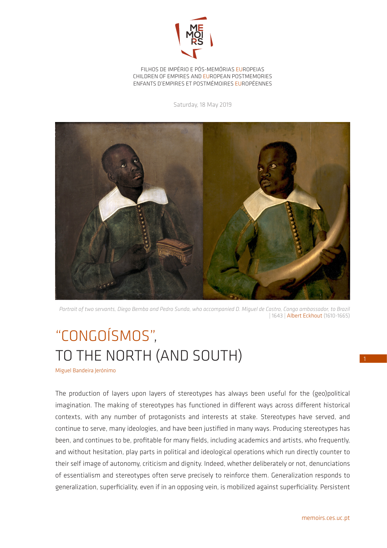

FILHOS DE IMPÉRIO E PÓS-MEMÓRIAS EUROPEIAS CHILDREN OF EMPIRES AND EUROPEAN POSTMEMORIES ENFANTS D'EMPIRES ET POSTMÉMOIRES EUROPÉENNES

Saturday, 18 May 2019



*Portrait of two servants, Diego Bemba and Pedro Sunda, who accompanied D. Miguel de Castro, Congo ambassador, to Brazil*  | 1643 | Albert Eckhout (1610-1665)

## "CONGOÍSMOS", TO THE NORTH (AND SOUTH)

Miguel Bandeira Jerónimo

The production of layers upon layers of stereotypes has always been useful for the (geo)political imagination. The making of stereotypes has functioned in different ways across different historical contexts, with any number of protagonists and interests at stake. Stereotypes have served, and continue to serve, many ideologies, and have been justified in many ways. Producing stereotypes has been, and continues to be, profitable for many fields, including academics and artists, who frequently, and without hesitation, play parts in political and ideological operations which run directly counter to their self image of autonomy, criticism and dignity. Indeed, whether deliberately or not, denunciations of essentialism and stereotypes often serve precisely to reinforce them. Generalization responds to generalization, superficiality, even if in an opposing vein, is mobilized against superficiality. Persistent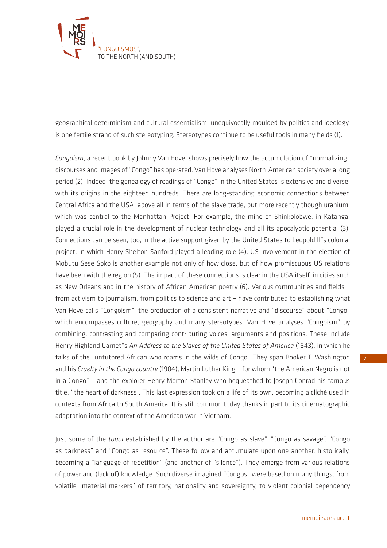

geographical determinism and cultural essentialism, unequivocally moulded by politics and ideology, is one fertile strand of such stereotyping. Stereotypes continue to be useful tools in many fields (1).

*Congoism*, a recent book by Johnny Van Hove, shows precisely how the accumulation of "normalizing" discourses and images of "Congo" has operated. Van Hove analyses North-American society over a long period (2). Indeed, the genealogy of readings of "Congo" in the United States is extensive and diverse, with its origins in the eighteen hundreds. There are long-standing economic connections between Central Africa and the USA, above all in terms of the slave trade, but more recently though uranium, which was central to the Manhattan Project. For example, the mine of Shinkolobwe, in Katanga, played a crucial role in the development of nuclear technology and all its apocalyptic potential (3). Connections can be seen, too, in the active support given by the United States to Leopold II"s colonial project, in which Henry Shelton Sanford played a leading role (4). US involvement in the election of Mobutu Sese Soko is another example not only of how close, but of how promiscuous US relations have been with the region (5). The impact of these connections is clear in the USA itself, in cities such as New Orleans and in the history of African-American poetry (6). Various communities and fields – from activism to journalism, from politics to science and art – have contributed to establishing what Van Hove calls "Congoism": the production of a consistent narrative and "discourse" about "Congo" which encompasses culture, geography and many stereotypes. Van Hove analyses "Congoism" by combining, contrasting and comparing contributing voices, arguments and positions. These include Henry Highland Garnet"s *An Address to the Slaves of the United States of America* (1843), in which he talks of the "untutored African who roams in the wilds of Congo". They span Booker T. Washington and his *Cruelty in the Congo country* (1904), Martin Luther King – for whom "the American Negro is not in a Congo" – and the explorer Henry Morton Stanley who bequeathed to Joseph Conrad his famous title: "the heart of darkness". This last expression took on a life of its own, becoming a cliché used in contexts from Africa to South America. It is still common today thanks in part to its cinematographic adaptation into the context of the American war in Vietnam.

Just some of the *topoi* established by the author are "Congo as slave", "Congo as savage", "Congo as darkness" and "Congo as resource". These follow and accumulate upon one another, historically, becoming a "language of repetition" (and another of "silence"). They emerge from various relations of power and (lack of) knowledge. Such diverse imagined "Congos" were based on many things, from volatile "material markers" of territory, nationality and sovereignty, to violent colonial dependency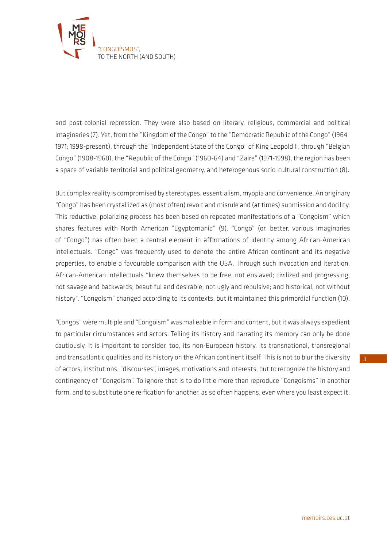

and post-colonial repression. They were also based on literary, religious, commercial and political imaginaries (7). Yet, from the "Kingdom of the Congo" to the "Democratic Republic of the Congo" (1964- 1971; 1998-present), through the "Independent State of the Congo" of King Leopold II, through "Belgian Congo" (1908-1960), the "Republic of the Congo" (1960-64) and "Zaire" (1971-1998), the region has been a space of variable territorial and political geometry, and heterogenous socio-cultural construction (8).

But complex reality is compromised by stereotypes, essentialism, myopia and convenience. An originary "Congo" has been crystallized as (most often) revolt and misrule and (at times) submission and docility. This reductive, polarizing process has been based on repeated manifestations of a "Congoism" which shares features with North American "Egyptomania" (9). "Congo" (or, better, various imaginaries of "Congo") has often been a central element in affirmations of identity among African-American intellectuals. "Congo" was frequently used to denote the entire African continent and its negative properties, to enable a favourable comparison with the USA. Through such invocation and iteration, African-American intellectuals "knew themselves to be free, not enslaved; civilized and progressing, not savage and backwards; beautiful and desirable, not ugly and repulsive; and historical, not without history". "Congoism" changed according to its contexts, but it maintained this primordial function (10).

"Congos" were multiple and "Congoism" was malleable in form and content, but it was always expedient to particular circumstances and actors. Telling its history and narrating its memory can only be done cautiously. It is important to consider, too, its non-European history, its transnational, transregional and transatlantic qualities and its history on the African continent itself. This is not to blur the diversity of actors, institutions, "discourses", images, motivations and interests, but to recognize the history and contingency of "Congoism". To ignore that is to do little more than reproduce "Congoisms" in another form, and to substitute one reification for another, as so often happens, even where you least expect it.